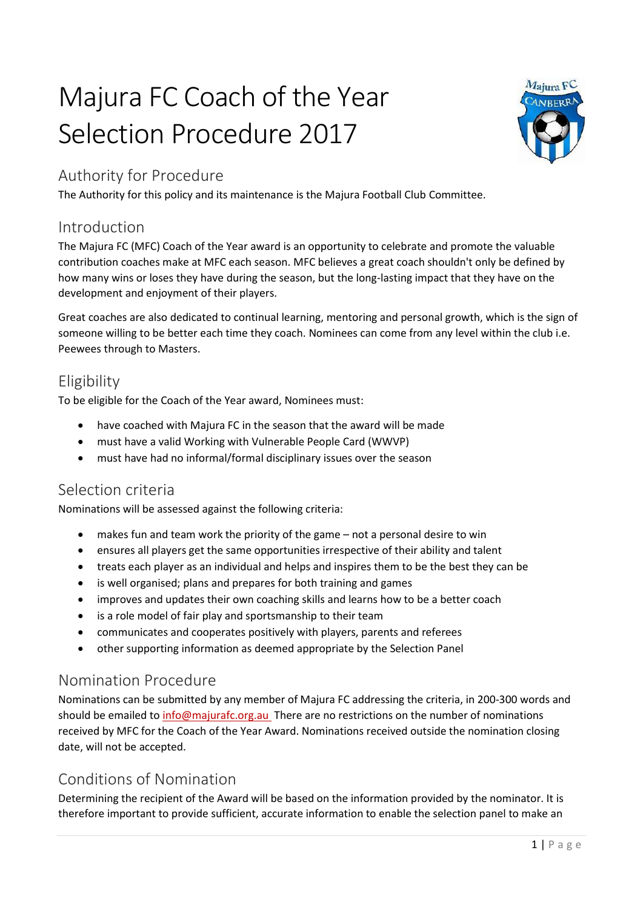# Majura FC Coach of the Year Selection Procedure 2017



# Authority for Procedure

The Authority for this policy and its maintenance is the Majura Football Club Committee.

#### Introduction

The Majura FC (MFC) Coach of the Year award is an opportunity to celebrate and promote the valuable contribution coaches make at MFC each season. MFC believes a great coach shouldn't only be defined by how many wins or loses they have during the season, but the long-lasting impact that they have on the development and enjoyment of their players.

Great coaches are also dedicated to continual learning, mentoring and personal growth, which is the sign of someone willing to be better each time they coach. Nominees can come from any level within the club i.e. Peewees through to Masters.

## Eligibility

To be eligible for the Coach of the Year award, Nominees must:

- have coached with Majura FC in the season that the award will be made
- must have a valid Working with Vulnerable People Card (WWVP)
- must have had no informal/formal disciplinary issues over the season

## Selection criteria

Nominations will be assessed against the following criteria:

- makes fun and team work the priority of the game not a personal desire to win
- ensures all players get the same opportunities irrespective of their ability and talent
- treats each player as an individual and helps and inspires them to be the best they can be
- is well organised; plans and prepares for both training and games
- improves and updates their own coaching skills and learns how to be a better coach
- is a role model of fair play and sportsmanship to their team
- communicates and cooperates positively with players, parents and referees
- other supporting information as deemed appropriate by the Selection Panel

## Nomination Procedure

Nominations can be submitted by any member of Majura FC addressing the criteria, in 200-300 words and should be emailed to [info@majurafc.org.au](mailto:info@majurafc.org.au) There are no restrictions on the number of nominations received by MFC for the Coach of the Year Award. Nominations received outside the nomination closing date, will not be accepted.

# Conditions of Nomination

Determining the recipient of the Award will be based on the information provided by the nominator. It is therefore important to provide sufficient, accurate information to enable the selection panel to make an